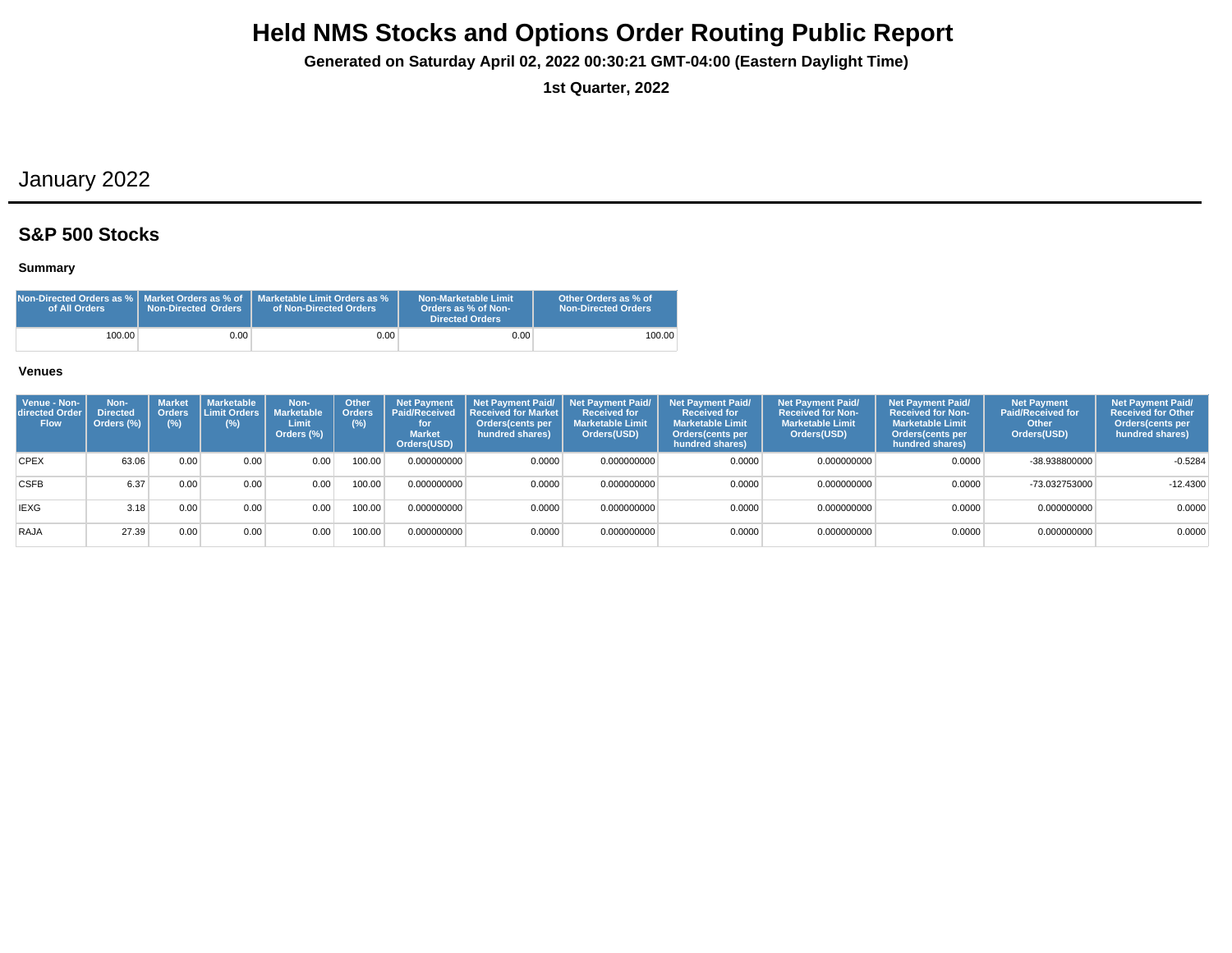**Generated on Saturday April 02, 2022 00:30:21 GMT-04:00 (Eastern Daylight Time)**

**1st Quarter, 2022**

# January 2022

## **S&P 500 Stocks**

### **Summary**

| Non-Directed Orders as %   Market Orders as % of<br>of All Orders | <b>Non-Directed Orders</b> | Marketable Limit Orders as %<br>of Non-Directed Orders | Non-Marketable Limit<br>Orders as % of Non-<br>Directed Orders | Other Orders as % of<br>Non-Directed Orders |
|-------------------------------------------------------------------|----------------------------|--------------------------------------------------------|----------------------------------------------------------------|---------------------------------------------|
| 100.00                                                            | 9.00 <sub>1</sub>          | $0.00\,$                                               | 0.00                                                           | 100.00                                      |

| Venue - Non-<br>directed Order<br><b>Flow</b> | Non-<br><b>Directed</b><br>Orders (%) | <b>Market</b><br><b>Orders</b><br>(%) | <b>Marketable</b><br>Limit Orders  <br>$(\%)$ | Non-<br>Marketable<br>Limit<br>Orders (%) | <b>Other</b><br><b>Orders</b><br>(%) | <b>Net Payment</b><br><b>Paid/Received</b><br>for<br><b>Market</b><br>Orders(USD) | Net Pavment Paid/<br><b>Received for Market</b><br>Orders(cents per<br>hundred shares) | <b>Net Payment Paid/</b><br><b>Received for</b><br><b>Marketable Limit</b><br>Orders(USD) | <b>Net Payment Paid/</b><br><b>Received for</b><br><b>Marketable Limit</b><br>Orders (cents per<br>hundred shares) | <b>Net Payment Paid/</b><br><b>Received for Non-</b><br><b>Marketable Limit</b><br>Orders(USD) | <b>Net Payment Paid/</b><br><b>Received for Non-</b><br><b>Marketable Limit</b><br>Orders(cents per<br>hundred shares) | <b>Net Payment</b><br><b>Paid/Received for</b><br>Other<br>Orders(USD) | <b>Net Payment Paid/</b><br><b>Received for Other</b><br>Orders(cents per<br>hundred shares) |
|-----------------------------------------------|---------------------------------------|---------------------------------------|-----------------------------------------------|-------------------------------------------|--------------------------------------|-----------------------------------------------------------------------------------|----------------------------------------------------------------------------------------|-------------------------------------------------------------------------------------------|--------------------------------------------------------------------------------------------------------------------|------------------------------------------------------------------------------------------------|------------------------------------------------------------------------------------------------------------------------|------------------------------------------------------------------------|----------------------------------------------------------------------------------------------|
| <b>CPEX</b>                                   | 63.06                                 | 0.00                                  | 0.00                                          | 0.00                                      | 100.00                               | 0.000000000                                                                       | 0.0000                                                                                 | 0.000000000                                                                               | 0.0000                                                                                                             | 0.000000000                                                                                    | 0.0000                                                                                                                 | -38.938800000                                                          | $-0.5284$                                                                                    |
| <b>CSFB</b>                                   | 6.37                                  | 0.00 <sub>1</sub>                     | 0.00                                          | 0.00                                      | 100.00                               | 0.000000000                                                                       | 0.0000                                                                                 | 0.000000000                                                                               | 0.0000                                                                                                             | 0.000000000                                                                                    | 0.0000                                                                                                                 | -73.032753000                                                          | $-12.4300$                                                                                   |
| <b>IEXG</b>                                   | 3.18                                  | 0.00                                  | 0.00                                          | 0.00                                      | 100.00                               | 0.000000000                                                                       | 0.0000                                                                                 | 0.000000000                                                                               | 0.0000                                                                                                             | 0.000000000                                                                                    | 0.0000                                                                                                                 | 0.000000000                                                            | 0.0000                                                                                       |
| RAJA                                          | 27.39                                 | 0.00 <sub>1</sub>                     | 0.00                                          | 0.00 <sub>1</sub>                         | 100.00                               | 0.000000000                                                                       | 0.0000                                                                                 | 0.000000000                                                                               | 0.0000                                                                                                             | 0.000000000                                                                                    | 0.0000                                                                                                                 | 0.000000000                                                            | 0.0000                                                                                       |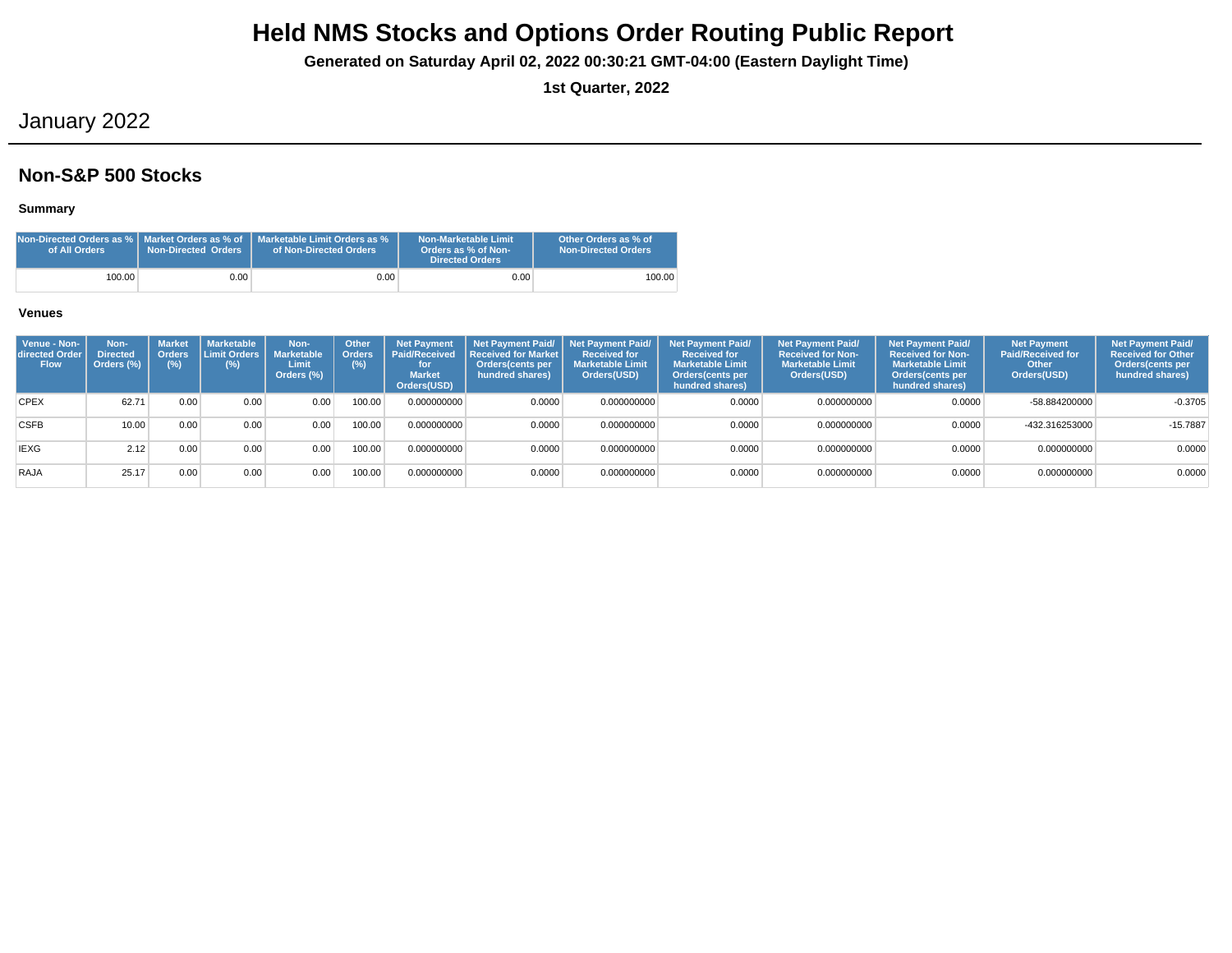**Generated on Saturday April 02, 2022 00:30:21 GMT-04:00 (Eastern Daylight Time)**

**1st Quarter, 2022**

# January 2022

## **Non-S&P 500 Stocks**

### **Summary**

| of All Orders | <b>Non-Directed Orders</b> | <code>Non-Directed</code> Orders as % $\mid$ Market Orders as % of $\mid$ Marketable Limit Orders as %<br>of Non-Directed Orders | Non-Marketable Limit<br>Orders as % of Non-<br><b>Directed Orders</b> | Other Orders as % of<br><b>Non-Directed Orders</b> |
|---------------|----------------------------|----------------------------------------------------------------------------------------------------------------------------------|-----------------------------------------------------------------------|----------------------------------------------------|
| 100.00        | 0.00                       | $0.00\,$                                                                                                                         | 0.00                                                                  | 100.00                                             |

| Venue - Non-<br>directed Order<br><b>Flow</b> | Non-<br><b>Directed</b><br>Orders (%) | <b>Market</b><br><b>Orders</b><br>$(\%)$ | <b>Marketable</b><br>Limit Orders<br>$(\%)$ | Non-<br><b>Marketable</b><br>Limit<br>Orders (%) | Other<br><b>Orders</b><br>(%) | <b>Net Payment</b><br><b>Paid/Received</b><br>for<br><b>Market</b><br>Orders(USD) | l Received for Market l<br>Orders(cents per<br>hundred shares) | Net Payment Paid/ Net Payment Paid/<br><b>Received for</b><br><b>Marketable Limit</b><br>Orders(USD) | <b>Net Payment Paid/</b><br><b>Received for</b><br><b>Marketable Limit</b><br>Orders(cents per<br>hundred shares) | <b>Net Payment Paid/</b><br><b>Received for Non-</b><br><b>Marketable Limit</b><br>Orders(USD) | <b>Net Payment Paid/</b><br><b>Received for Non-</b><br><b>Marketable Limit</b><br><b>Orders</b> (cents per<br>hundred shares) | <b>Net Payment</b><br><b>Paid/Received for</b><br>Other<br>Orders(USD) | <b>Net Payment Paid/</b><br><b>Received for Other</b><br>Orders(cents per<br>hundred shares) |
|-----------------------------------------------|---------------------------------------|------------------------------------------|---------------------------------------------|--------------------------------------------------|-------------------------------|-----------------------------------------------------------------------------------|----------------------------------------------------------------|------------------------------------------------------------------------------------------------------|-------------------------------------------------------------------------------------------------------------------|------------------------------------------------------------------------------------------------|--------------------------------------------------------------------------------------------------------------------------------|------------------------------------------------------------------------|----------------------------------------------------------------------------------------------|
| <b>CPEX</b>                                   | 62.71                                 | 0.00                                     | 0.00                                        | 0.00                                             | 100.00                        | 0.000000000                                                                       | 0.0000                                                         | 0.000000000                                                                                          | 0.0000                                                                                                            | 0.000000000                                                                                    | 0.0000                                                                                                                         | -58.884200000                                                          | $-0.3705$                                                                                    |
| <b>CSFB</b>                                   | 10.00                                 | 0.00                                     | 0.00                                        | 0.00                                             | 100.00                        | 0.000000000                                                                       | 0.0000                                                         | 0.000000000                                                                                          | 0.0000                                                                                                            | 0.000000000                                                                                    | 0.0000                                                                                                                         | -432.316253000                                                         | $-15.7887$                                                                                   |
| <b>IEXG</b>                                   | 2.12                                  | 0.00                                     | 0.00                                        | 0.00                                             | 100.00                        | 0.000000000                                                                       | 0.0000                                                         | 0.000000000                                                                                          | 0.0000                                                                                                            | 0.000000000                                                                                    | 0.0000                                                                                                                         | 0.000000000                                                            | 0.0000                                                                                       |
| RAJA                                          | 25.17                                 | 0.00                                     | 0.00                                        | 0.00                                             | 100.00                        | 0.000000000                                                                       | 0.0000                                                         | 0.000000000                                                                                          | 0.0000                                                                                                            | 0.000000000                                                                                    | 0.0000                                                                                                                         | 0.000000000                                                            | 0.0000                                                                                       |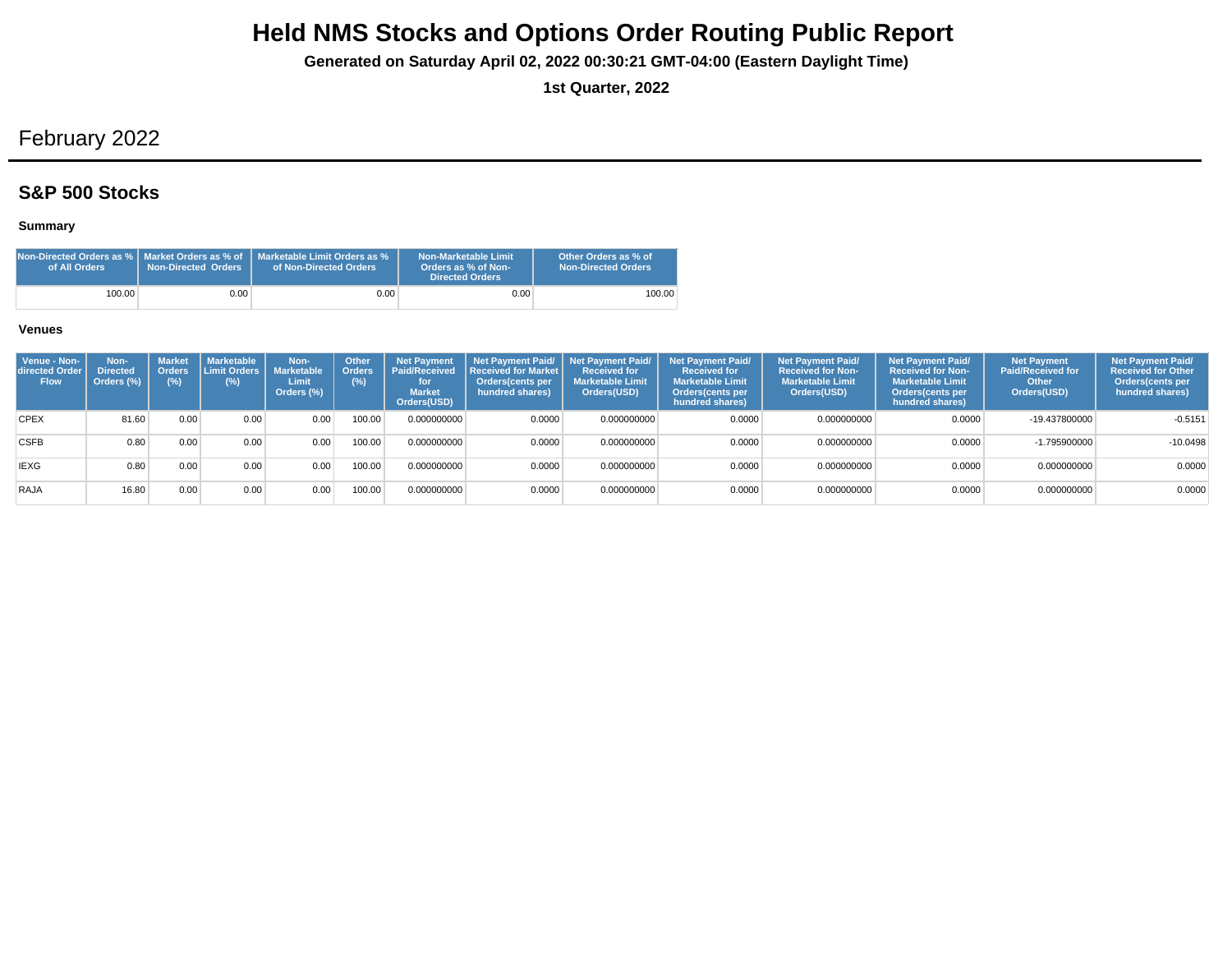**Generated on Saturday April 02, 2022 00:30:21 GMT-04:00 (Eastern Daylight Time)**

**1st Quarter, 2022**

# February 2022

## **S&P 500 Stocks**

## **Summary**

| Non-Directed Orders as %   Market Orders as % of<br>of All Orders | Non-Directed Orders | Marketable Limit Orders as %<br>of Non-Directed Orders | Non-Marketable Limit<br>Orders as % of Non-<br><b>Directed Orders</b> | Other Orders as % of<br><b>Non-Directed Orders</b> |
|-------------------------------------------------------------------|---------------------|--------------------------------------------------------|-----------------------------------------------------------------------|----------------------------------------------------|
| 100.00                                                            | 0.00                | 0.00                                                   | 0.00                                                                  | 100.00                                             |

| Venue - Non-<br>directed Order<br><b>Flow</b> | Non-<br><b>Directed</b><br>Orders (%) | <b>Market</b><br><b>Orders</b><br>$(\%)$ | <b>Marketable</b><br>Limit Orders L<br>(%) | Non-<br><b>Marketable</b><br>Limit<br>Orders (%) | <b>Other</b><br><b>Orders</b><br>(% ) | <b>Net Payment</b><br><b>Paid/Received</b><br>for<br><b>Market</b><br>Orders(USD) | Net Payment Paid/ Net Payment Paid/<br>Received for Market<br>Orders(cents per<br>hundred shares) | <b>Received for</b><br><b>Marketable Limit</b><br>Orders(USD) | <b>Net Payment Paid/</b><br><b>Received for</b><br><b>Marketable Limit</b><br>Orders(cents per<br>hundred shares) | <b>Net Payment Paid/</b><br><b>Received for Non-</b><br><b>Marketable Limit</b><br>Orders(USD) | <b>Net Payment Paid/</b><br><b>Received for Non-</b><br><b>Marketable Limit</b><br>Orders(cents per<br>hundred shares) | <b>Net Payment</b><br><b>Paid/Received for</b><br>Other<br>Orders(USD) | <b>Net Payment Paid/</b><br><b>Received for Other</b><br>Orders(cents per<br>hundred shares) |
|-----------------------------------------------|---------------------------------------|------------------------------------------|--------------------------------------------|--------------------------------------------------|---------------------------------------|-----------------------------------------------------------------------------------|---------------------------------------------------------------------------------------------------|---------------------------------------------------------------|-------------------------------------------------------------------------------------------------------------------|------------------------------------------------------------------------------------------------|------------------------------------------------------------------------------------------------------------------------|------------------------------------------------------------------------|----------------------------------------------------------------------------------------------|
| <b>CPEX</b>                                   | 81.60                                 | 0.00                                     | 0.00                                       | 0.00                                             | 100.00                                | 0.000000000                                                                       | 0.0000                                                                                            | 0.000000000                                                   | 0.0000                                                                                                            | 0.000000000                                                                                    | 0.0000                                                                                                                 | -19.437800000                                                          | $-0.5151$                                                                                    |
| <b>CSFB</b>                                   | 0.80                                  | 0.00                                     | 0.00                                       | 0.00                                             | 100.00                                | 0.000000000                                                                       | 0.0000                                                                                            | 0.000000000                                                   | 0.0000                                                                                                            | 0.000000000                                                                                    | 0.0000                                                                                                                 | $-1.795900000$                                                         | $-10.0498$                                                                                   |
| <b>IEXG</b>                                   | 0.80                                  | 0.00                                     | 0.00                                       | 0.00                                             | 100.00                                | 0.000000000                                                                       | 0.0000                                                                                            | 0.000000000                                                   | 0.0000                                                                                                            | 0.000000000                                                                                    | 0.0000                                                                                                                 | 0.000000000                                                            | 0.0000                                                                                       |
| RAJA                                          | 16.80                                 | 0.00                                     | 0.00                                       | 0.00                                             | 00.00                                 | 0.000000000                                                                       | 0.0000                                                                                            | 0.000000000                                                   | 0.0000                                                                                                            | 0.000000000                                                                                    | 0.0000                                                                                                                 | 0.000000000                                                            | 0.0000                                                                                       |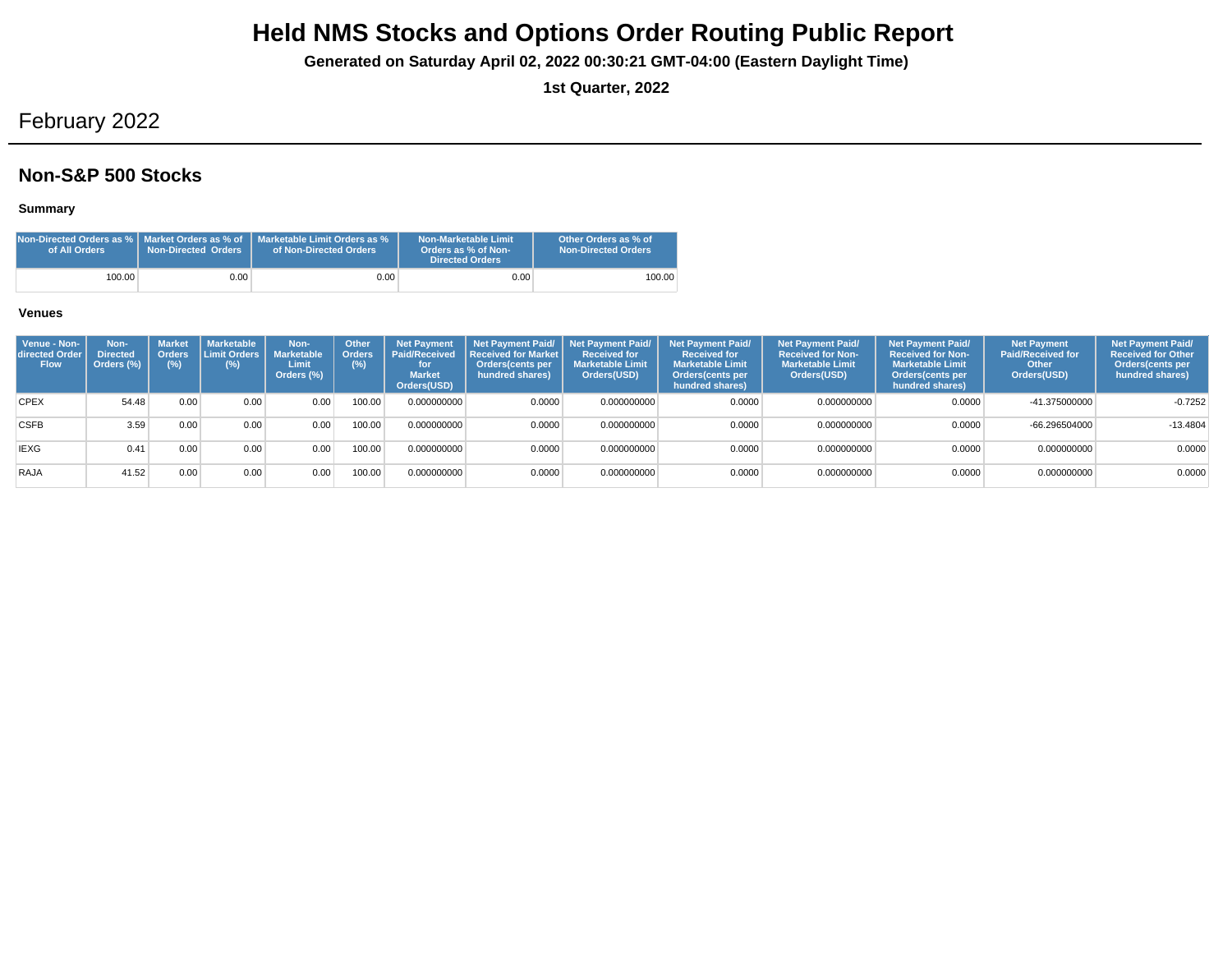**Generated on Saturday April 02, 2022 00:30:21 GMT-04:00 (Eastern Daylight Time)**

**1st Quarter, 2022**

# February 2022

## **Non-S&P 500 Stocks**

#### **Summary**

| of All Orders | <b>Non-Directed Orders</b> | Non-Directed Orders as % L Market Orders as % of L Marketable Limit Orders as %<br>of Non-Directed Orders | Non-Marketable Limit<br>Orders as % of Non-<br><b>Directed Orders</b> | Other Orders as % of<br><b>Non-Directed Orders</b> |
|---------------|----------------------------|-----------------------------------------------------------------------------------------------------------|-----------------------------------------------------------------------|----------------------------------------------------|
| 100.00        | 0.00                       | 0.00 <sub>1</sub>                                                                                         | 0.00                                                                  | 100.00                                             |

| Venue - Non-<br>directed Orde<br><b>Flow</b> | Non-<br><b>Directed</b><br>Orders (%) | <b>Market</b><br><b>Orders</b><br>(% ) | Marketable<br>I Limit Orders I<br>(%) | Non-<br><b>Marketable</b><br>Limit<br>Orders (%) | Other<br><b>Orders</b><br>(%) | <b>Net Payment</b><br><b>Paid/Received</b><br>for<br><b>Market</b><br>Orders(USD) | Net Payment Paid/ Net Payment Paid/<br>Received for Market<br>Orders(cents per<br>hundred shares) | Received for<br><b>Marketable Limit</b><br>Orders(USD) | <b>Net Payment Paid/</b><br><b>Received for</b><br><b>Marketable Limit</b><br>Orders (cents per<br>hundred shares) | Net Payment Paid/<br><b>Received for Non-</b><br><b>Marketable Limit</b><br>Orders(USD) | <b>Net Payment Paid/</b><br><b>Received for Non-</b><br><b>Marketable Limit</b><br><b>Orders</b> (cents per<br>hundred shares) | <b>Net Payment</b><br><b>Paid/Received for</b><br>Other<br>Orders(USD) | <b>Net Payment Paid/</b><br><b>Received for Other</b><br>Orders(cents per<br>hundred shares) |
|----------------------------------------------|---------------------------------------|----------------------------------------|---------------------------------------|--------------------------------------------------|-------------------------------|-----------------------------------------------------------------------------------|---------------------------------------------------------------------------------------------------|--------------------------------------------------------|--------------------------------------------------------------------------------------------------------------------|-----------------------------------------------------------------------------------------|--------------------------------------------------------------------------------------------------------------------------------|------------------------------------------------------------------------|----------------------------------------------------------------------------------------------|
| <b>CPEX</b>                                  | 54.48                                 | 0.00                                   | 0.00                                  | 0.00                                             | 100.00                        | 0.000000000                                                                       | 0.0000                                                                                            | 0.000000000                                            | 0.0000                                                                                                             | 0.000000000                                                                             | 0.0000                                                                                                                         | -41.375000000                                                          | $-0.7252$                                                                                    |
| <b>CSFB</b>                                  | 3.59                                  | 0.00                                   | 0.00                                  | 0.00                                             | 100.00                        | 0.000000000                                                                       | 0.0000                                                                                            | 0.000000000                                            | 0.0000                                                                                                             | 0.000000000                                                                             | 0.0000                                                                                                                         | $-66.296504000$                                                        | $-13.4804$                                                                                   |
| <b>IEXG</b>                                  | 0.41                                  | 0.00                                   | 0.00                                  | 0.00                                             | 100.00                        | 0.000000000                                                                       | 0.0000                                                                                            | 0.000000000                                            | 0.0000                                                                                                             | 0.000000000                                                                             | 0.0000                                                                                                                         | 0.000000000                                                            | 0.0000                                                                                       |
| RAJA                                         | 41.52                                 | 0.00                                   | 0.00                                  | 0.00                                             | 00.00                         | 0.000000000                                                                       | 0.0000                                                                                            | 0.000000000                                            | 0.0000                                                                                                             | 0.000000000                                                                             | 0.0000                                                                                                                         | 0.000000000                                                            | 0.0000                                                                                       |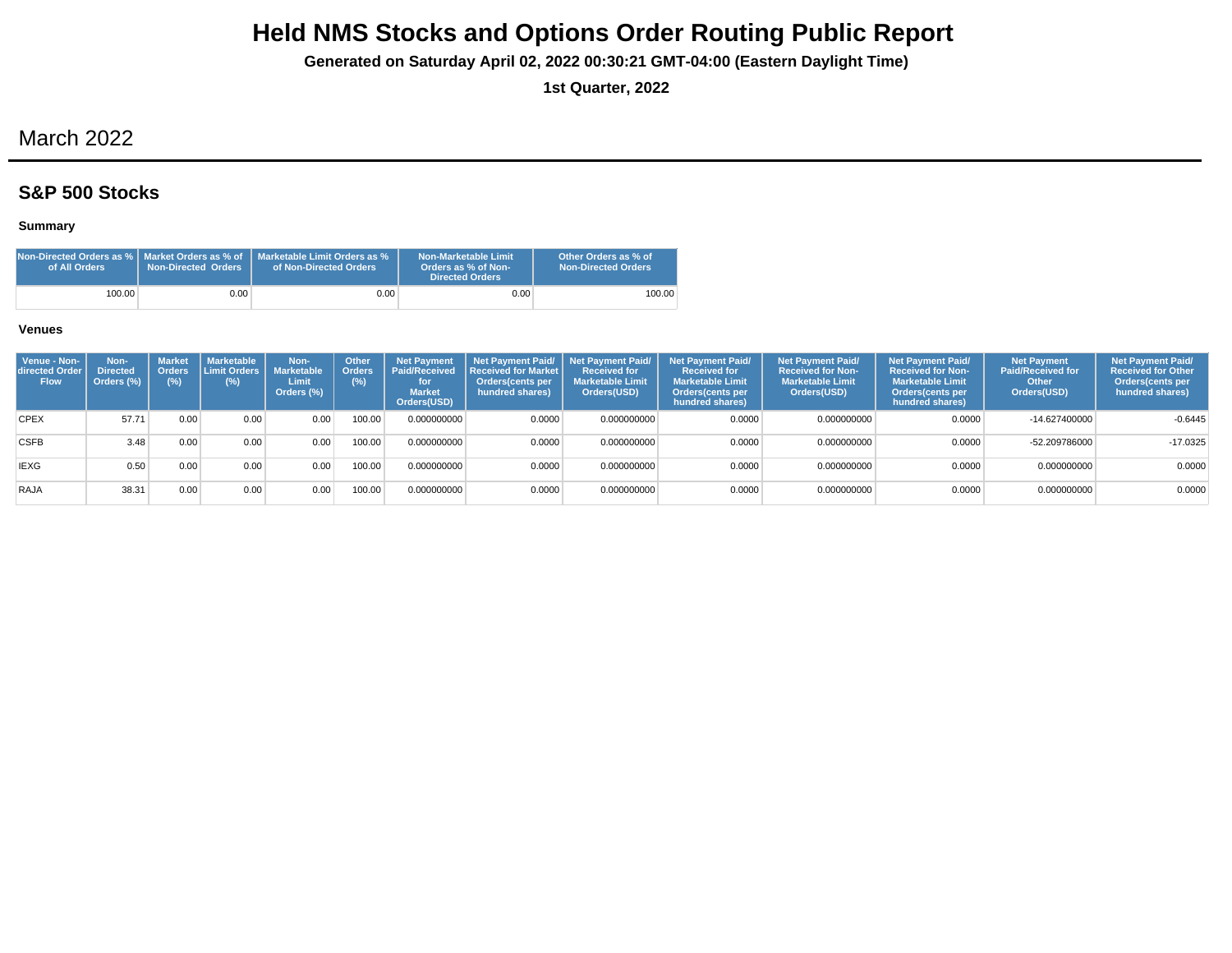**Generated on Saturday April 02, 2022 00:30:21 GMT-04:00 (Eastern Daylight Time)**

**1st Quarter, 2022**

# March 2022

## **S&P 500 Stocks**

## **Summary**

| Non-Directed Orders as %   Market Orders as % of<br>of All Orders | Non-Directed Orders | Marketable Limit Orders as %<br>of Non-Directed Orders | Non-Marketable Limit<br>Orders as % of Non-<br><b>Directed Orders</b> | Other Orders as % of<br><b>Non-Directed Orders</b> |
|-------------------------------------------------------------------|---------------------|--------------------------------------------------------|-----------------------------------------------------------------------|----------------------------------------------------|
| 100.00                                                            | 0.00                | 0.00                                                   | 0.00                                                                  | 100.00                                             |

| Venue - Non-<br>directed Order<br><b>Flow</b> | Non-<br><b>Directed</b><br>Orders (%) | <b>Market</b><br><b>Orders</b><br>$(\%)$ | <b>Marketable</b><br>I Limit Orders I<br>(%) | Non-<br><b>Marketable</b><br>Limit<br>Orders (%) | <b>Other</b><br><b>Orders</b><br>(%) | <b>Net Payment</b><br><b>Paid/Received</b><br>for<br><b>Market</b><br>Orders(USD) | Net Payment Paid/ Net Payment Paid/<br><b>Received for Market</b><br>Orders(cents per<br>hundred shares) | <b>Received for</b><br><b>Marketable Limit</b><br>Orders(USD) | <b>Net Payment Paid/</b><br><b>Received for</b><br><b>Marketable Limit</b><br>Orders(cents per<br>hundred shares) | <b>Net Payment Paid/</b><br><b>Received for Non-</b><br><b>Marketable Limit</b><br>Orders(USD) | <b>Net Payment Paid/</b><br><b>Received for Non-</b><br><b>Marketable Limit</b><br>Orders(cents per<br>hundred shares) | <b>Net Payment</b><br><b>Paid/Received for</b><br>Other<br>Orders(USD) | <b>Net Payment Paid/</b><br><b>Received for Other</b><br>Orders(cents per<br>hundred shares) |
|-----------------------------------------------|---------------------------------------|------------------------------------------|----------------------------------------------|--------------------------------------------------|--------------------------------------|-----------------------------------------------------------------------------------|----------------------------------------------------------------------------------------------------------|---------------------------------------------------------------|-------------------------------------------------------------------------------------------------------------------|------------------------------------------------------------------------------------------------|------------------------------------------------------------------------------------------------------------------------|------------------------------------------------------------------------|----------------------------------------------------------------------------------------------|
| <b>CPEX</b>                                   | 57.71                                 | 0.00                                     | 0.00                                         | 0.00                                             | 100.00                               | 0.000000000                                                                       | 0.0000                                                                                                   | 0.000000000                                                   | 0.0000                                                                                                            | 0.000000000                                                                                    | 0.0000                                                                                                                 | -14.627400000                                                          | $-0.6445$                                                                                    |
| <b>CSFB</b>                                   | 3.48                                  | 0.00                                     | 0.00                                         | 0.00                                             | 00.00                                | 0.000000000                                                                       | 0.0000                                                                                                   | 0.000000000                                                   | 0.0000                                                                                                            | 0.000000000                                                                                    | 0.0000                                                                                                                 | -52.209786000                                                          | $-17.0325$                                                                                   |
| <b>IEXG</b>                                   | 0.50                                  | 0.00                                     | 0.00                                         | 0.00                                             | 100.00                               | 0.000000000                                                                       | 0.0000                                                                                                   | 0.000000000                                                   | 0.0000                                                                                                            | 0.000000000                                                                                    | 0.0000                                                                                                                 | 0.000000000                                                            | 0.0000                                                                                       |
| RAJA                                          | 38.31                                 | 0.00                                     | 0.00                                         | 0.00                                             | 100.00                               | 0.000000000                                                                       | 0.0000                                                                                                   | 0.000000000                                                   | 0.0000                                                                                                            | 0.000000000                                                                                    | 0.0000                                                                                                                 | 0.000000000                                                            | 0.0000                                                                                       |